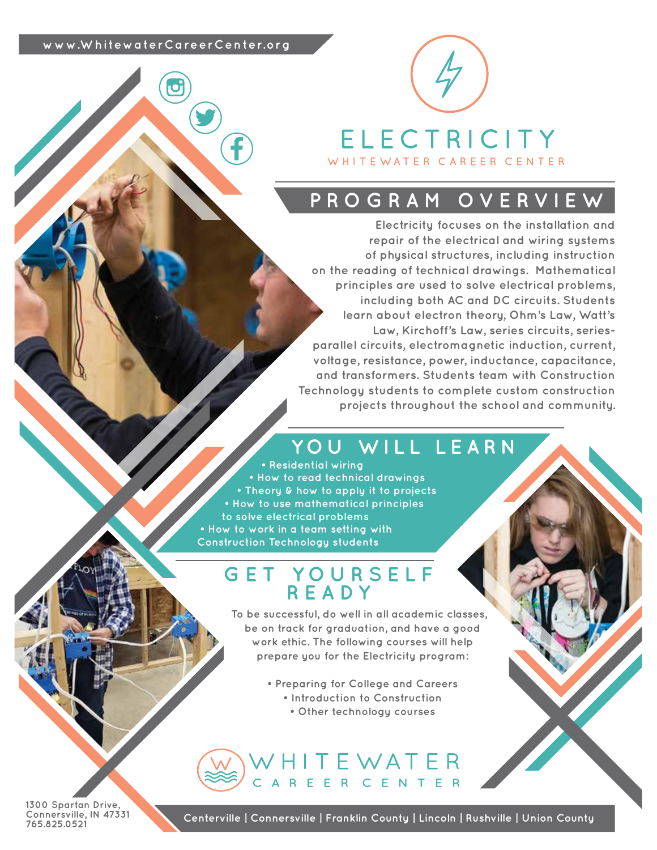### **www.WhitewaterCareerCenter.org**



## **PROGRAM OVERVIEW**

**Electricity focuses on the installation and repair of the electrical and wiring systems of physical structures, including instruction on the reading of technical drawings. Mathematical principles are used to solve electrical problems, including both AC and DC circuits. Students learn about electron theory, Ohm's Law, Watt's Law, Kirchoff's Law, series circuits, seriesparallel circuits, electromagnetic induction, current, voltage, resistance, power, inductance, capacitance, and transformers. Students team with Construction Technology students to complete custom construction projects throughout the school and community.**

# **YOU WILL LEARN**

**• Residential wiring • How to read technical drawings • Theory & how to apply it to projects • How to use mathematical principles to solve electrical problems • How to work in a team setting with Construction Technology students**

## **GET YOURSELF READY**

**To be successful, do well in all academic classes, be on track for graduation, and have a good work ethic. The following courses will help prepare you for the Electricity program:**

- **Preparing for College and Careers • Introduction to Construction**
	- **Other technology courses**

## WHITEWATER AREER CENTER

**1300 Spartan Drive, Connersville, IN 47331 765.825.0521**

**Centerville | Connersville | Franklin County | Lincoln | Rushville | Union County**